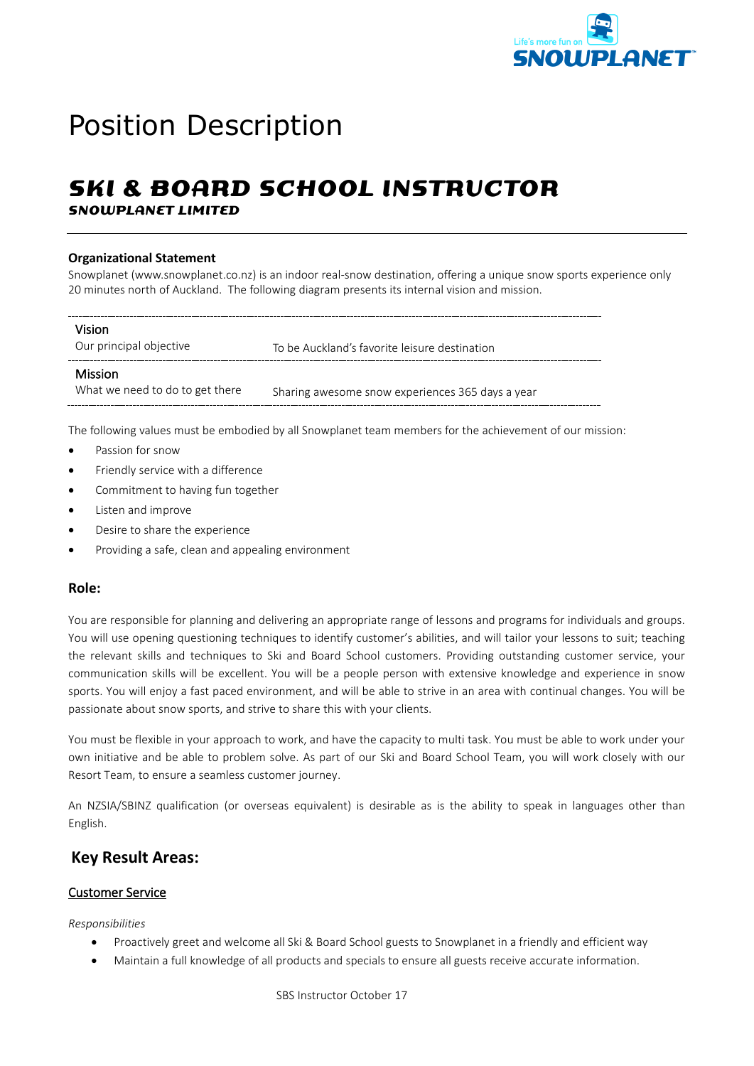

# Position Description

# **SKI & BOARD SCHOOL INSTRUCTOR**

**SNOWPLANET LIMITED**

#### **Organizational Statement**

Snowplanet (www.snowplanet.co.nz) is an indoor real-snow destination, offering a unique snow sports experience only 20 minutes north of Auckland. The following diagram presents its internal vision and mission.

| Vision<br>Our principal objective                 | To be Auckland's favorite leisure destination    |
|---------------------------------------------------|--------------------------------------------------|
| <b>Mission</b><br>What we need to do to get there | Sharing awesome snow experiences 365 days a year |

The following values must be embodied by all Snowplanet team members for the achievement of our mission:

- Passion for snow
- Friendly service with a difference
- Commitment to having fun together
- Listen and improve
- Desire to share the experience
- Providing a safe, clean and appealing environment

#### **Role:**

You are responsible for planning and delivering an appropriate range of lessons and programs for individuals and groups. You will use opening questioning techniques to identify customer's abilities, and will tailor your lessons to suit; teaching the relevant skills and techniques to Ski and Board School customers. Providing outstanding customer service, your communication skills will be excellent. You will be a people person with extensive knowledge and experience in snow sports. You will enjoy a fast paced environment, and will be able to strive in an area with continual changes. You will be passionate about snow sports, and strive to share this with your clients.

You must be flexible in your approach to work, and have the capacity to multi task. You must be able to work under your own initiative and be able to problem solve. As part of our Ski and Board School Team, you will work closely with our Resort Team, to ensure a seamless customer journey.

An NZSIA/SBINZ qualification (or overseas equivalent) is desirable as is the ability to speak in languages other than English.

# **Key Result Areas:**

#### Customer Service

#### *Responsibilities*

- Proactively greet and welcome all Ski & Board School guests to Snowplanet in a friendly and efficient way
- Maintain a full knowledge of all products and specials to ensure all guests receive accurate information.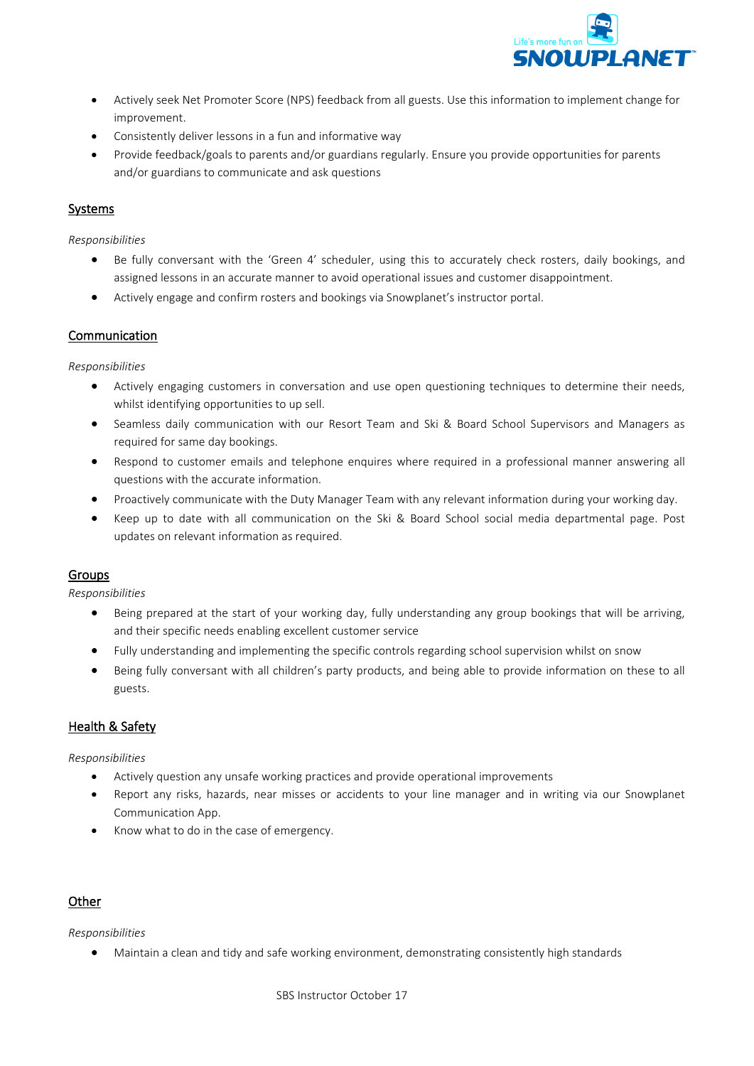

- Actively seek Net Promoter Score (NPS) feedback from all guests. Use this information to implement change for improvement.
- Consistently deliver lessons in a fun and informative way
- Provide feedback/goals to parents and/or guardians regularly. Ensure you provide opportunities for parents and/or guardians to communicate and ask questions

#### Systems

*Responsibilities* 

- Be fully conversant with the 'Green 4' scheduler, using this to accurately check rosters, daily bookings, and assigned lessons in an accurate manner to avoid operational issues and customer disappointment.
- Actively engage and confirm rosters and bookings via Snowplanet's instructor portal.

#### Communication

*Responsibilities*

- Actively engaging customers in conversation and use open questioning techniques to determine their needs, whilst identifying opportunities to up sell.
- Seamless daily communication with our Resort Team and Ski & Board School Supervisors and Managers as required for same day bookings.
- Respond to customer emails and telephone enquires where required in a professional manner answering all questions with the accurate information.
- Proactively communicate with the Duty Manager Team with any relevant information during your working day.
- Keep up to date with all communication on the Ski & Board School social media departmental page. Post updates on relevant information as required.

#### Groups

*Responsibilities*

- Being prepared at the start of your working day, fully understanding any group bookings that will be arriving, and their specific needs enabling excellent customer service
- Fully understanding and implementing the specific controls regarding school supervision whilst on snow
- Being fully conversant with all children's party products, and being able to provide information on these to all guests.

#### Health & Safety

*Responsibilities*

- Actively question any unsafe working practices and provide operational improvements
- Report any risks, hazards, near misses or accidents to your line manager and in writing via our Snowplanet Communication App.
- Know what to do in the case of emergency.

#### **Other**

*Responsibilities*

• Maintain a clean and tidy and safe working environment, demonstrating consistently high standards